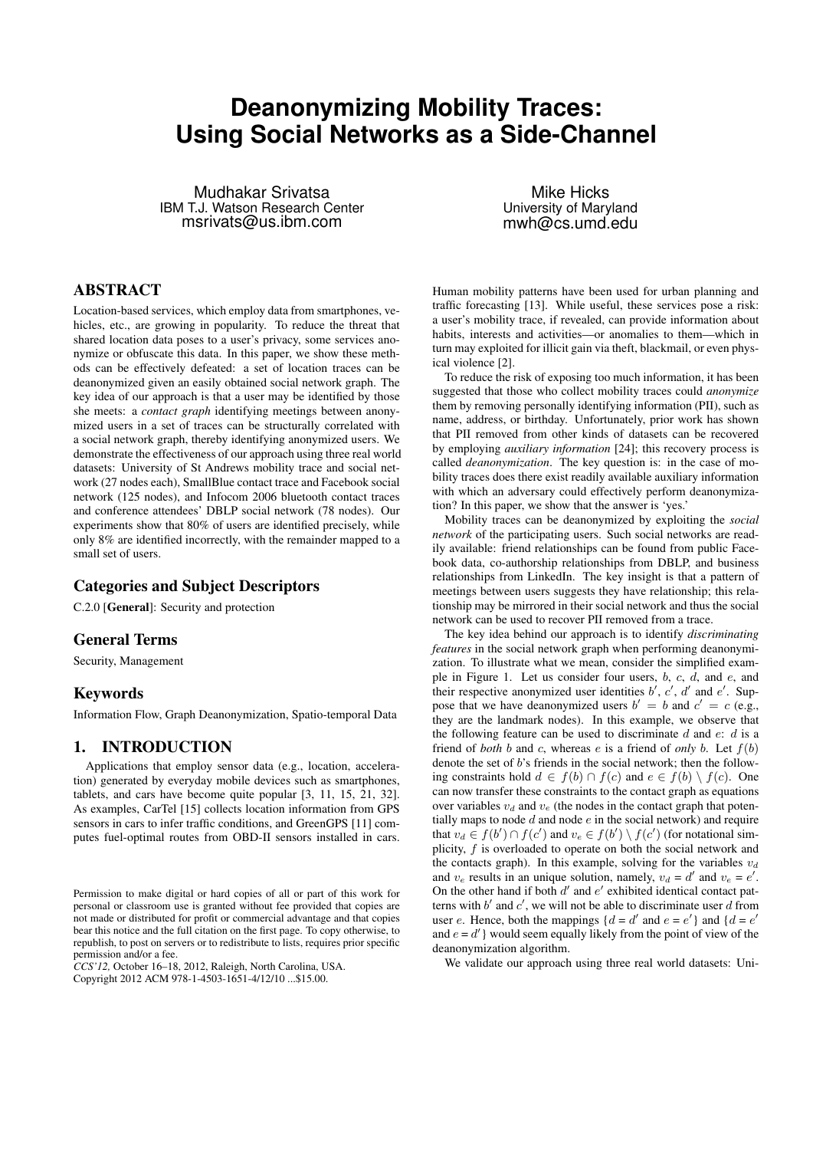# **Deanonymizing Mobility Traces: Using Social Networks as a Side-Channel**

Mudhakar Srivatsa IBM T.J. Watson Research Center msrivats@us.ibm.com

ABSTRACT

Location-based services, which employ data from smartphones, vehicles, etc., are growing in popularity. To reduce the threat that shared location data poses to a user's privacy, some services anonymize or obfuscate this data. In this paper, we show these methods can be effectively defeated: a set of location traces can be deanonymized given an easily obtained social network graph. The key idea of our approach is that a user may be identified by those she meets: a *contact graph* identifying meetings between anonymized users in a set of traces can be structurally correlated with a social network graph, thereby identifying anonymized users. We demonstrate the effectiveness of our approach using three real world datasets: University of St Andrews mobility trace and social network (27 nodes each), SmallBlue contact trace and Facebook social network (125 nodes), and Infocom 2006 bluetooth contact traces and conference attendees' DBLP social network (78 nodes). Our experiments show that 80% of users are identified precisely, while only 8% are identified incorrectly, with the remainder mapped to a small set of users.

# Categories and Subject Descriptors

C.2.0 [General]: Security and protection

# General Terms

Security, Management

# Keywords

Information Flow, Graph Deanonymization, Spatio-temporal Data

# 1. INTRODUCTION

Applications that employ sensor data (e.g., location, acceleration) generated by everyday mobile devices such as smartphones, tablets, and cars have become quite popular [3, 11, 15, 21, 32]. As examples, CarTel [15] collects location information from GPS sensors in cars to infer traffic conditions, and GreenGPS [11] computes fuel-optimal routes from OBD-II sensors installed in cars.

*CCS'12,* October 16–18, 2012, Raleigh, North Carolina, USA. Copyright 2012 ACM 978-1-4503-1651-4/12/10 ...\$15.00.

Mike Hicks University of Maryland mwh@cs.umd.edu

Human mobility patterns have been used for urban planning and traffic forecasting [13]. While useful, these services pose a risk: a user's mobility trace, if revealed, can provide information about habits, interests and activities—or anomalies to them—which in turn may exploited for illicit gain via theft, blackmail, or even physical violence [2].

To reduce the risk of exposing too much information, it has been suggested that those who collect mobility traces could *anonymize* them by removing personally identifying information (PII), such as name, address, or birthday. Unfortunately, prior work has shown that PII removed from other kinds of datasets can be recovered by employing *auxiliary information* [24]; this recovery process is called *deanonymization*. The key question is: in the case of mobility traces does there exist readily available auxiliary information with which an adversary could effectively perform deanonymization? In this paper, we show that the answer is 'yes.'

Mobility traces can be deanonymized by exploiting the *social network* of the participating users. Such social networks are readily available: friend relationships can be found from public Facebook data, co-authorship relationships from DBLP, and business relationships from LinkedIn. The key insight is that a pattern of meetings between users suggests they have relationship; this relationship may be mirrored in their social network and thus the social network can be used to recover PII removed from a trace.

The key idea behind our approach is to identify *discriminating features* in the social network graph when performing deanonymization. To illustrate what we mean, consider the simplified example in Figure 1. Let us consider four users, b, c, d, and e, and their respective anonymized user identities  $b'$ ,  $c'$ ,  $d'$  and  $e'$ . Suppose that we have deanonymized users  $b' = b$  and  $c' = c$  (e.g., they are the landmark nodes). In this example, we observe that the following feature can be used to discriminate  $d$  and  $e: d$  is a friend of *both* b and c, whereas e is a friend of *only* b. Let  $f(b)$ denote the set of b's friends in the social network; then the following constraints hold  $d \in f(b) \cap f(c)$  and  $e \in f(b) \setminus f(c)$ . One can now transfer these constraints to the contact graph as equations over variables  $v_d$  and  $v_e$  (the nodes in the contact graph that potentially maps to node  $d$  and node  $e$  in the social network) and require that  $v_d \in f(b') \cap f(c')$  and  $v_e \in f(b') \setminus f(c')$  (for notational simplicity, f is overloaded to operate on both the social network and the contacts graph). In this example, solving for the variables  $v_d$ and  $v_e$  results in an unique solution, namely,  $v_d = d'$  and  $v_e = e'$ . On the other hand if both  $d'$  and  $e'$  exhibited identical contact patterns with  $b'$  and  $c'$ , we will not be able to discriminate user d from user e. Hence, both the mappings  $\{d = d' \text{ and } e = e'\}$  and  $\{d = e' \}$ and  $e = d'$  would seem equally likely from the point of view of the deanonymization algorithm.

We validate our approach using three real world datasets: Uni-

Permission to make digital or hard copies of all or part of this work for personal or classroom use is granted without fee provided that copies are not made or distributed for profit or commercial advantage and that copies bear this notice and the full citation on the first page. To copy otherwise, to republish, to post on servers or to redistribute to lists, requires prior specific permission and/or a fee.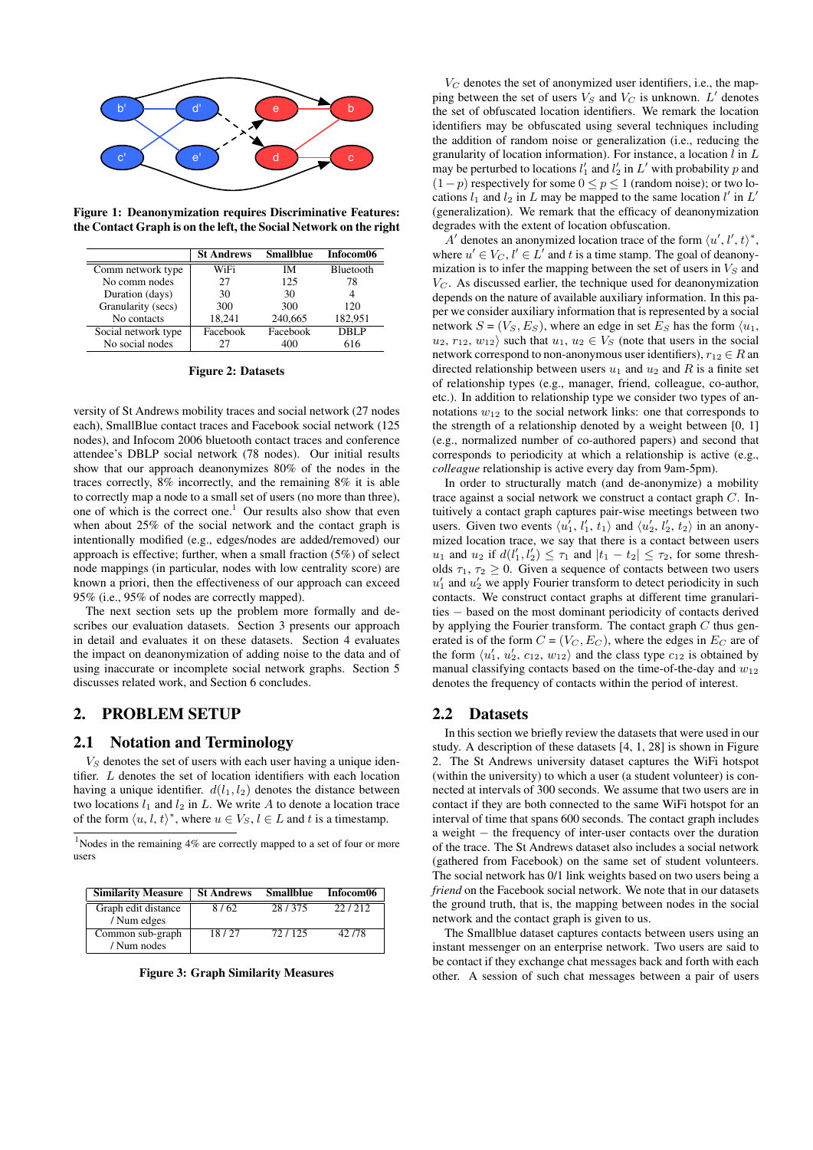

Figure 1: Deanonymization requires Discriminative Features: the Contact Graph is on the left, the Social Network on the right

|                     | <b>St Andrews</b> | <b>Smallblue</b> | Infocom06 |
|---------------------|-------------------|------------------|-----------|
| Comm network type   | WiFi              | IМ               | Bluetooth |
| No comm nodes       | 27                | 125              | 78        |
| Duration (days)     | 30                | 30               |           |
| Granularity (secs)  | 300               | 300              | 120       |
| No contacts         | 18,241            | 240,665          | 182,951   |
| Social network type | Facebook          | Facebook         | DBLP      |
| No social nodes     | 27                | 400              | 616       |

Figure 2: Datasets

versity of St Andrews mobility traces and social network (27 nodes each), SmallBlue contact traces and Facebook social network (125 nodes), and Infocom 2006 bluetooth contact traces and conference attendee's DBLP social network (78 nodes). Our initial results show that our approach deanonymizes 80% of the nodes in the traces correctly, 8% incorrectly, and the remaining 8% it is able to correctly map a node to a small set of users (no more than three), one of which is the correct one.<sup>1</sup> Our results also show that even when about 25% of the social network and the contact graph is intentionally modified (e.g., edges/nodes are added/removed) our approach is effective; further, when a small fraction (5%) of select node mappings (in particular, nodes with low centrality score) are known a priori, then the effectiveness of our approach can exceed 95% (i.e., 95% of nodes are correctly mapped).

The next section sets up the problem more formally and describes our evaluation datasets. Section 3 presents our approach in detail and evaluates it on these datasets. Section 4 evaluates the impact on deanonymization of adding noise to the data and of using inaccurate or incomplete social network graphs. Section 5 discusses related work, and Section 6 concludes.

# 2. PROBLEM SETUP

# 2.1 Notation and Terminology

 $V<sub>S</sub>$  denotes the set of users with each user having a unique identifier. L denotes the set of location identifiers with each location having a unique identifier.  $d(l_1, l_2)$  denotes the distance between two locations  $l_1$  and  $l_2$  in L. We write A to denote a location trace of the form  $\langle u, l, t \rangle^*$ , where  $u \in V_S$ ,  $l \in L$  and t is a timestamp.

 $1$ Nodes in the remaining 4% are correctly mapped to a set of four or more users

| <b>Similarity Measure</b>          | <b>St Andrews</b> | <b>Smallblue</b> | Infocom06 |
|------------------------------------|-------------------|------------------|-----------|
| Graph edit distance<br>/ Num edges | 8/62              | 28/375           | 22/212    |
| Common sub-graph<br>/ Num nodes    | 18/27             | 72/125           | 42/78     |

Figure 3: Graph Similarity Measures

 $V_C$  denotes the set of anonymized user identifiers, i.e., the mapping between the set of users  $V_S$  and  $V_C$  is unknown.  $L'$  denotes the set of obfuscated location identifiers. We remark the location identifiers may be obfuscated using several techniques including the addition of random noise or generalization (i.e., reducing the granularity of location information). For instance, a location  $l$  in  $L$ may be perturbed to locations  $l'_1$  and  $l'_2$  in  $L'$  with probability p and  $(1-p)$  respectively for some  $0 \le p \le 1$  (random noise); or two locations  $l_1$  and  $l_2$  in L may be mapped to the same location  $l'$  in L' (generalization). We remark that the efficacy of deanonymization degrades with the extent of location obfuscation.

A' denotes an anonymized location trace of the form  $\langle u', l', t \rangle^*$ , where  $u' \in V_C$ ,  $l' \in L'$  and t is a time stamp. The goal of deanonymization is to infer the mapping between the set of users in  $V<sub>S</sub>$  and  $V<sub>C</sub>$ . As discussed earlier, the technique used for deanonymization depends on the nature of available auxiliary information. In this paper we consider auxiliary information that is represented by a social network  $S = (V_S, E_S)$ , where an edge in set  $E_S$  has the form  $\langle u_1, u_2 \rangle$  $u_2, r_{12}, w_{12}$  such that  $u_1, u_2 \in V_S$  (note that users in the social network correspond to non-anonymous user identifiers),  $r_{12} \in R$  an directed relationship between users  $u_1$  and  $u_2$  and R is a finite set of relationship types (e.g., manager, friend, colleague, co-author, etc.). In addition to relationship type we consider two types of annotations  $w_{12}$  to the social network links: one that corresponds to the strength of a relationship denoted by a weight between [0, 1] (e.g., normalized number of co-authored papers) and second that corresponds to periodicity at which a relationship is active (e.g., *colleague* relationship is active every day from 9am-5pm).

In order to structurally match (and de-anonymize) a mobility trace against a social network we construct a contact graph C. Intuitively a contact graph captures pair-wise meetings between two users. Given two events  $\langle u_1', l_1', t_1 \rangle$  and  $\langle u_2', l_2', t_2 \rangle$  in an anonymized location trace, we say that there is a contact between users  $u_1$  and  $u_2$  if  $d(l'_1, l'_2) \leq \tau_1$  and  $|t_1 - t_2| \leq \tau_2$ , for some thresholds  $\tau_1$ ,  $\tau_2 \geq 0$ . Given a sequence of contacts between two users  $u'_1$  and  $u'_2$  we apply Fourier transform to detect periodicity in such contacts. We construct contact graphs at different time granularities − based on the most dominant periodicity of contacts derived by applying the Fourier transform. The contact graph  $C$  thus generated is of the form  $C = (V_C, E_C)$ , where the edges in  $E_C$  are of the form  $\langle u_1', u_2', c_{12}, w_{12} \rangle$  and the class type  $c_{12}$  is obtained by manual classifying contacts based on the time-of-the-day and  $w_{12}$ denotes the frequency of contacts within the period of interest.

#### 2.2 Datasets

In this section we briefly review the datasets that were used in our study. A description of these datasets [4, 1, 28] is shown in Figure 2. The St Andrews university dataset captures the WiFi hotspot (within the university) to which a user (a student volunteer) is connected at intervals of 300 seconds. We assume that two users are in contact if they are both connected to the same WiFi hotspot for an interval of time that spans 600 seconds. The contact graph includes a weight − the frequency of inter-user contacts over the duration of the trace. The St Andrews dataset also includes a social network (gathered from Facebook) on the same set of student volunteers. The social network has 0/1 link weights based on two users being a *friend* on the Facebook social network. We note that in our datasets the ground truth, that is, the mapping between nodes in the social network and the contact graph is given to us.

The Smallblue dataset captures contacts between users using an instant messenger on an enterprise network. Two users are said to be contact if they exchange chat messages back and forth with each other. A session of such chat messages between a pair of users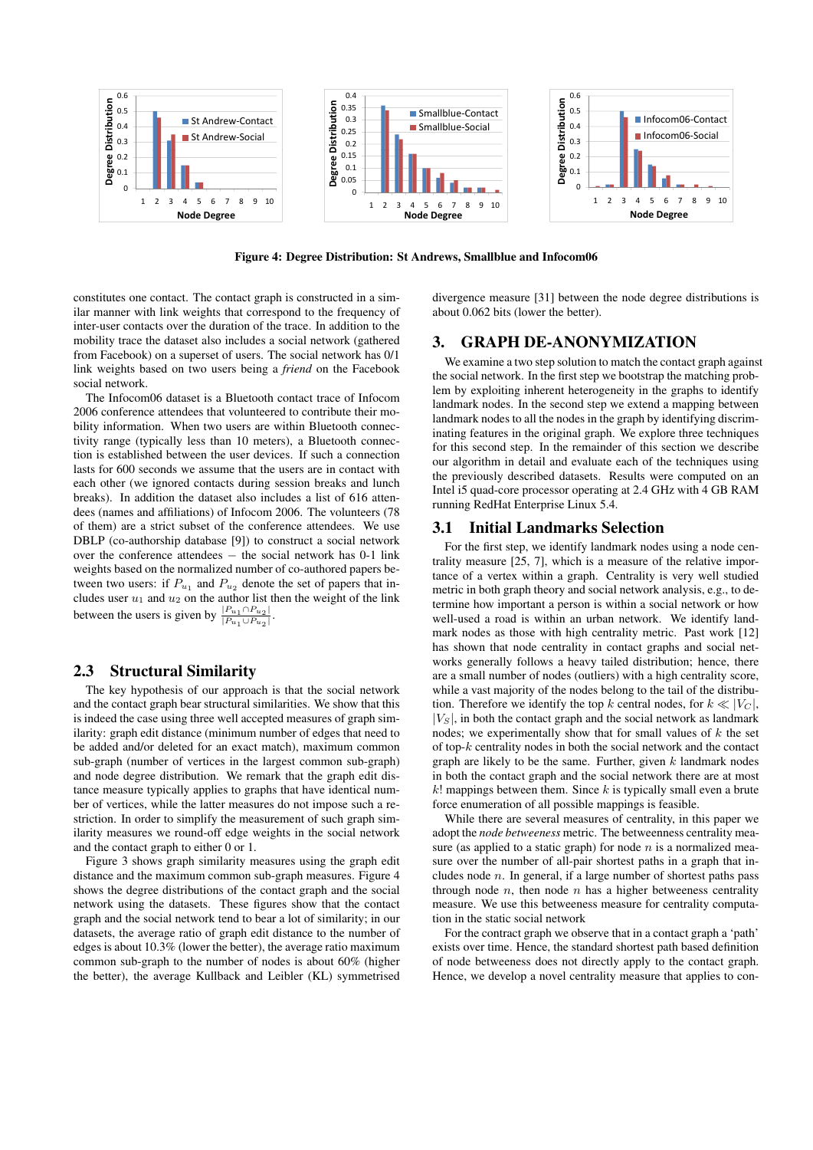

Figure 4: Degree Distribution: St Andrews, Smallblue and Infocom06

constitutes one contact. The contact graph is constructed in a similar manner with link weights that correspond to the frequency of inter-user contacts over the duration of the trace. In addition to the mobility trace the dataset also includes a social network (gathered from Facebook) on a superset of users. The social network has 0/1 link weights based on two users being a *friend* on the Facebook social network.

The Infocom06 dataset is a Bluetooth contact trace of Infocom 2006 conference attendees that volunteered to contribute their mobility information. When two users are within Bluetooth connectivity range (typically less than 10 meters), a Bluetooth connection is established between the user devices. If such a connection lasts for 600 seconds we assume that the users are in contact with each other (we ignored contacts during session breaks and lunch breaks). In addition the dataset also includes a list of 616 attendees (names and affiliations) of Infocom 2006. The volunteers (78 of them) are a strict subset of the conference attendees. We use DBLP (co-authorship database [9]) to construct a social network over the conference attendees – the social network has 0-1 link weights based on the normalized number of co-authored papers between two users: if  $P_{u_1}$  and  $P_{u_2}$  denote the set of papers that includes user  $u_1$  and  $u_2$  on the author list then the weight of the link between the users is given by  $\frac{|P_{u_1} \cap P_{u_2}|}{|P_{u_1}| |P_{u_2}|}$  $|P_{u_1} \cup P_{u_2}|$ .

# 2.3 Structural Similarity

The key hypothesis of our approach is that the social network and the contact graph bear structural similarities. We show that this is indeed the case using three well accepted measures of graph similarity: graph edit distance (minimum number of edges that need to be added and/or deleted for an exact match), maximum common sub-graph (number of vertices in the largest common sub-graph) and node degree distribution. We remark that the graph edit distance measure typically applies to graphs that have identical number of vertices, while the latter measures do not impose such a restriction. In order to simplify the measurement of such graph similarity measures we round-off edge weights in the social network and the contact graph to either 0 or 1.

Figure 3 shows graph similarity measures using the graph edit distance and the maximum common sub-graph measures. Figure 4 shows the degree distributions of the contact graph and the social network using the datasets. These figures show that the contact graph and the social network tend to bear a lot of similarity; in our datasets, the average ratio of graph edit distance to the number of edges is about 10.3% (lower the better), the average ratio maximum common sub-graph to the number of nodes is about 60% (higher the better), the average Kullback and Leibler (KL) symmetrised divergence measure [31] between the node degree distributions is about 0.062 bits (lower the better).

# 3. GRAPH DE-ANONYMIZATION

We examine a two step solution to match the contact graph against the social network. In the first step we bootstrap the matching problem by exploiting inherent heterogeneity in the graphs to identify landmark nodes. In the second step we extend a mapping between landmark nodes to all the nodes in the graph by identifying discriminating features in the original graph. We explore three techniques for this second step. In the remainder of this section we describe our algorithm in detail and evaluate each of the techniques using the previously described datasets. Results were computed on an Intel i5 quad-core processor operating at 2.4 GHz with 4 GB RAM running RedHat Enterprise Linux 5.4.

# 3.1 Initial Landmarks Selection

For the first step, we identify landmark nodes using a node centrality measure [25, 7], which is a measure of the relative importance of a vertex within a graph. Centrality is very well studied metric in both graph theory and social network analysis, e.g., to determine how important a person is within a social network or how well-used a road is within an urban network. We identify landmark nodes as those with high centrality metric. Past work [12] has shown that node centrality in contact graphs and social networks generally follows a heavy tailed distribution; hence, there are a small number of nodes (outliers) with a high centrality score, while a vast majority of the nodes belong to the tail of the distribution. Therefore we identify the top k central nodes, for  $k \ll |V_C|$ ,  $|V_s|$ , in both the contact graph and the social network as landmark nodes; we experimentally show that for small values of  $k$  the set of top-k centrality nodes in both the social network and the contact graph are likely to be the same. Further, given  $k$  landmark nodes in both the contact graph and the social network there are at most  $k!$  mappings between them. Since k is typically small even a brute force enumeration of all possible mappings is feasible.

While there are several measures of centrality, in this paper we adopt the *node betweeness* metric. The betweenness centrality measure (as applied to a static graph) for node  $n$  is a normalized measure over the number of all-pair shortest paths in a graph that includes node  $n$ . In general, if a large number of shortest paths pass through node  $n$ , then node  $n$  has a higher betweeness centrality measure. We use this betweeness measure for centrality computation in the static social network

For the contract graph we observe that in a contact graph a 'path' exists over time. Hence, the standard shortest path based definition of node betweeness does not directly apply to the contact graph. Hence, we develop a novel centrality measure that applies to con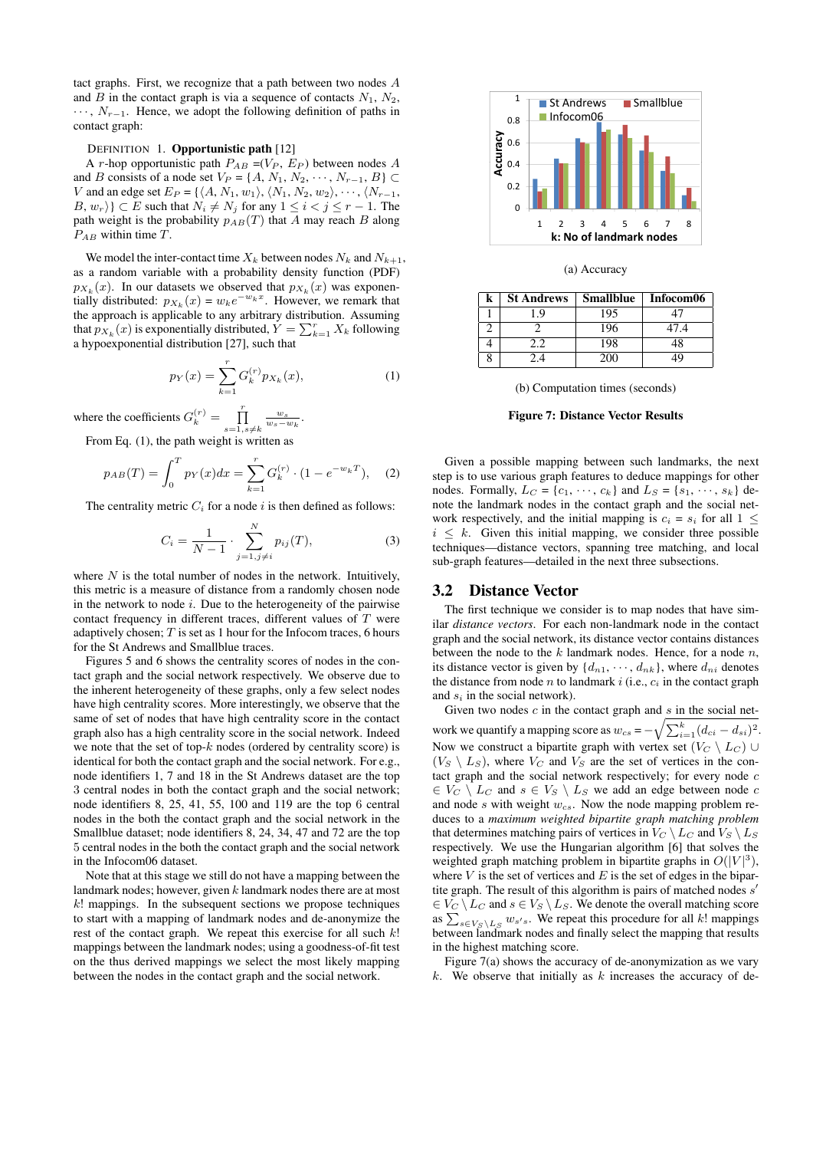tact graphs. First, we recognize that a path between two nodes A and  $B$  in the contact graph is via a sequence of contacts  $N_1$ ,  $N_2$ ,  $\cdots$ ,  $N_{r-1}$ . Hence, we adopt the following definition of paths in contact graph:

#### DEFINITION 1. Opportunistic path [12]

A *r*-hop opportunistic path  $P_{AB} = (V_P, E_P)$  between nodes A and B consists of a node set  $V_P = \{A, N_1, N_2, \cdots, N_{r-1}, B\}$ V and an edge set  $E_P = \{ \langle A, N_1, w_1 \rangle, \langle N_1, N_2, w_2 \rangle, \cdots, \langle N_{r-1},$  $B, w_r$ }  $\subset E$  such that  $N_i \neq N_j$  for any  $1 \leq i \leq j \leq r-1$ . The path weight is the probability  $p_{AB}(T)$  that A may reach B along  $P_{AB}$  within time T.

We model the inter-contact time  $X_k$  between nodes  $N_k$  and  $N_{k+1}$ , as a random variable with a probability density function (PDF)  $p_{X_k}(x)$ . In our datasets we observed that  $p_{X_k}(x)$  was exponentially distributed:  $p_{X_k}(x) = w_k e^{-w_k x}$ . However, we remark that the approach is applicable to any arbitrary distribution. Assuming that  $p_{X_k}(x)$  is exponentially distributed,  $Y = \sum_{k=1}^r X_k$  following a hypoexponential distribution [27], such that

$$
p_Y(x) = \sum_{k=1}^r G_k^{(r)} p_{X_k}(x),
$$
 (1)

where the coefficients  $G_k^{(r)} = \prod_{s=1, s \neq k}^{r}$  $\frac{w_s}{w_s-w_k}$ .

From Eq. (1), the path weight is written as

$$
p_{AB}(T) = \int_0^T p_Y(x)dx = \sum_{k=1}^r G_k^{(r)} \cdot (1 - e^{-w_k T}), \quad (2)
$$

The centrality metric  $C_i$  for a node i is then defined as follows:

$$
C_i = \frac{1}{N-1} \cdot \sum_{j=1, j \neq i}^{N} p_{ij}(T),
$$
 (3)

where  $N$  is the total number of nodes in the network. Intuitively, this metric is a measure of distance from a randomly chosen node in the network to node  $i$ . Due to the heterogeneity of the pairwise contact frequency in different traces, different values of  $T$  were adaptively chosen;  $T$  is set as 1 hour for the Infocom traces, 6 hours for the St Andrews and Smallblue traces.

Figures 5 and 6 shows the centrality scores of nodes in the contact graph and the social network respectively. We observe due to the inherent heterogeneity of these graphs, only a few select nodes have high centrality scores. More interestingly, we observe that the same of set of nodes that have high centrality score in the contact graph also has a high centrality score in the social network. Indeed we note that the set of top- $k$  nodes (ordered by centrality score) is identical for both the contact graph and the social network. For e.g., node identifiers 1, 7 and 18 in the St Andrews dataset are the top 3 central nodes in both the contact graph and the social network; node identifiers 8, 25, 41, 55, 100 and 119 are the top 6 central nodes in the both the contact graph and the social network in the Smallblue dataset; node identifiers 8, 24, 34, 47 and 72 are the top 5 central nodes in the both the contact graph and the social network in the Infocom06 dataset.

Note that at this stage we still do not have a mapping between the landmark nodes; however, given k landmark nodes there are at most  $k!$  mappings. In the subsequent sections we propose techniques to start with a mapping of landmark nodes and de-anonymize the rest of the contact graph. We repeat this exercise for all such  $k!$ mappings between the landmark nodes; using a goodness-of-fit test on the thus derived mappings we select the most likely mapping between the nodes in the contact graph and the social network.



|  | (a) Accuracy |
|--|--------------|
|--|--------------|

| k | <b>St Andrews</b> | <b>Smallblue</b> | Infocom06 |
|---|-------------------|------------------|-----------|
|   |                   | 195              |           |
|   |                   | 196              | 47.4      |
|   |                   | 198              |           |
|   |                   | 200              | 1G        |

(b) Computation times (seconds)

#### Figure 7: Distance Vector Results

Given a possible mapping between such landmarks, the next step is to use various graph features to deduce mappings for other nodes. Formally,  $L_C = \{c_1, \dots, c_k\}$  and  $L_S = \{s_1, \dots, s_k\}$  denote the landmark nodes in the contact graph and the social network respectively, and the initial mapping is  $c_i = s_i$  for all  $1 \leq$  $i \leq k$ . Given this initial mapping, we consider three possible techniques—distance vectors, spanning tree matching, and local sub-graph features—detailed in the next three subsections.

# 3.2 Distance Vector

The first technique we consider is to map nodes that have similar *distance vectors*. For each non-landmark node in the contact graph and the social network, its distance vector contains distances between the node to the  $k$  landmark nodes. Hence, for a node  $n$ , its distance vector is given by  $\{d_{n1}, \dots, d_{nk}\}$ , where  $d_{ni}$  denotes the distance from node *n* to landmark *i* (i.e.,  $c_i$  in the contact graph and  $s_i$  in the social network).

Given two nodes  $c$  in the contact graph and  $s$  in the social network we quantify a mapping score as  $w_{cs} = -\sqrt{\sum_{i=1}^{k}(d_{ci} - d_{si})^2}$ . Now we construct a bipartite graph with vertex set  $(V_C \setminus L_C)$  $(V_S \setminus L_S)$ , where  $V_C$  and  $V_S$  are the set of vertices in the contact graph and the social network respectively; for every node  $c$  $\in V_C \setminus L_C$  and  $s \in V_S \setminus L_S$  we add an edge between node c and node s with weight  $w_{cs}$ . Now the node mapping problem reduces to a *maximum weighted bipartite graph matching problem* that determines matching pairs of vertices in  $V_C \setminus L_C$  and  $V_S \setminus L_S$ respectively. We use the Hungarian algorithm [6] that solves the weighted graph matching problem in bipartite graphs in  $O(|V|^3)$ , where  $V$  is the set of vertices and  $E$  is the set of edges in the bipartite graph. The result of this algorithm is pairs of matched nodes  $s'$  $\in V_C \setminus L_C$  and  $s \in V_S \setminus L_S$ . We denote the overall matching score as  $\sum_{s \in V_S \backslash L_S} w_{s's}$ . We repeat this procedure for all k! mappings between landmark nodes and finally select the mapping that results in the highest matching score.

Figure 7(a) shows the accuracy of de-anonymization as we vary  $k$ . We observe that initially as  $k$  increases the accuracy of de-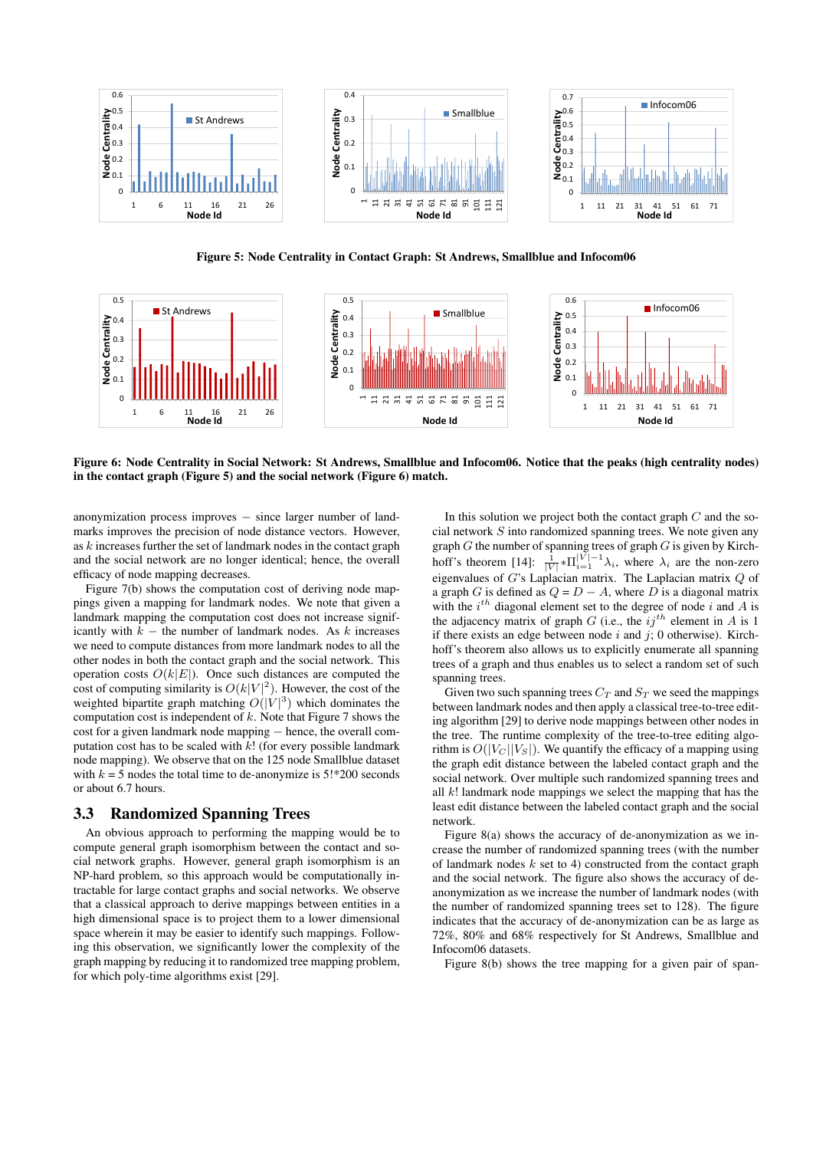

Figure 5: Node Centrality in Contact Graph: St Andrews, Smallblue and Infocom06



Figure 6: Node Centrality in Social Network: St Andrews, Smallblue and Infocom06. Notice that the peaks (high centrality nodes) in the contact graph (Figure 5) and the social network (Figure 6) match.

anonymization process improves − since larger number of landmarks improves the precision of node distance vectors. However, as k increases further the set of landmark nodes in the contact graph and the social network are no longer identical; hence, the overall efficacy of node mapping decreases.

Figure 7(b) shows the computation cost of deriving node mappings given a mapping for landmark nodes. We note that given a landmark mapping the computation cost does not increase significantly with  $k -$  the number of landmark nodes. As k increases we need to compute distances from more landmark nodes to all the other nodes in both the contact graph and the social network. This operation costs  $O(k|E|)$ . Once such distances are computed the cost of computing similarity is  $O(k|V|^2)$ . However, the cost of the weighted bipartite graph matching  $O(|V|^3)$  which dominates the computation cost is independent of  $k$ . Note that Figure 7 shows the cost for a given landmark node mapping − hence, the overall computation cost has to be scaled with  $k!$  (for every possible landmark node mapping). We observe that on the 125 node Smallblue dataset with  $k = 5$  nodes the total time to de-anonymize is  $5!*200$  seconds or about 6.7 hours.

#### 3.3 Randomized Spanning Trees

An obvious approach to performing the mapping would be to compute general graph isomorphism between the contact and social network graphs. However, general graph isomorphism is an NP-hard problem, so this approach would be computationally intractable for large contact graphs and social networks. We observe that a classical approach to derive mappings between entities in a high dimensional space is to project them to a lower dimensional space wherein it may be easier to identify such mappings. Following this observation, we significantly lower the complexity of the graph mapping by reducing it to randomized tree mapping problem, for which poly-time algorithms exist [29].

In this solution we project both the contact graph  $C$  and the social network S into randomized spanning trees. We note given any graph  $G$  the number of spanning trees of graph  $G$  is given by Kirchhoff's theorem [14]:  $\frac{1}{|V|} \times \prod_{i=1}^{|V|-1} \lambda_i$ , where  $\lambda_i$  are the non-zero eigenvalues of G's Laplacian matrix. The Laplacian matrix  $Q$  of a graph G is defined as  $Q = D - A$ , where D is a diagonal matrix with the  $i^{th}$  diagonal element set to the degree of node i and A is the adjacency matrix of graph  $G$  (i.e., the  $ij^{th}$  element in A is 1 if there exists an edge between node  $i$  and  $j$ ; 0 otherwise). Kirchhoff's theorem also allows us to explicitly enumerate all spanning trees of a graph and thus enables us to select a random set of such spanning trees.

Given two such spanning trees  $C_T$  and  $S_T$  we seed the mappings between landmark nodes and then apply a classical tree-to-tree editing algorithm [29] to derive node mappings between other nodes in the tree. The runtime complexity of the tree-to-tree editing algorithm is  $O(|V_C||V_S|)$ . We quantify the efficacy of a mapping using the graph edit distance between the labeled contact graph and the social network. Over multiple such randomized spanning trees and all  $k!$  landmark node mappings we select the mapping that has the least edit distance between the labeled contact graph and the social network.

Figure 8(a) shows the accuracy of de-anonymization as we increase the number of randomized spanning trees (with the number of landmark nodes  $k$  set to 4) constructed from the contact graph and the social network. The figure also shows the accuracy of deanonymization as we increase the number of landmark nodes (with the number of randomized spanning trees set to 128). The figure indicates that the accuracy of de-anonymization can be as large as 72%, 80% and 68% respectively for St Andrews, Smallblue and Infocom06 datasets.

Figure 8(b) shows the tree mapping for a given pair of span-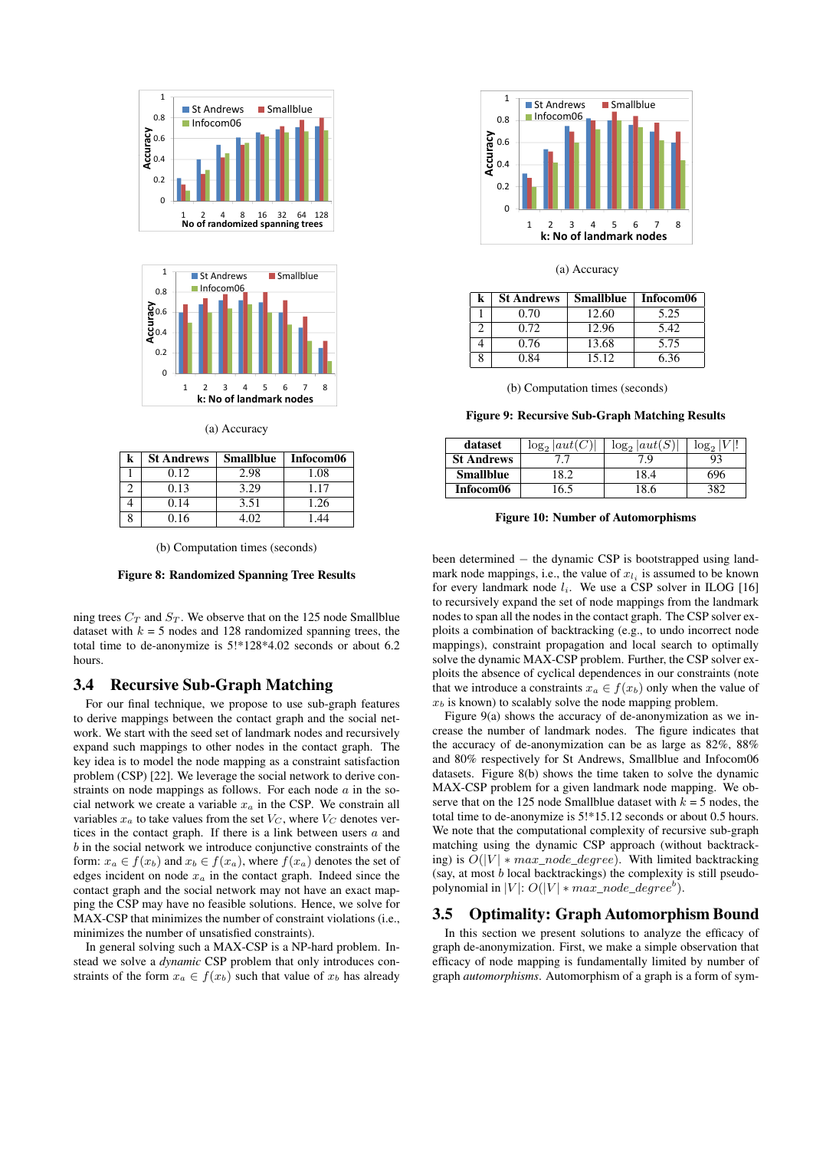



(a) Accuracy

| <b>St Andrews</b> | <b>Smallblue</b> | Infocom06 |
|-------------------|------------------|-----------|
| 0.12              | 2.98             | 1.08      |
| 0.13              | 3.29             | 1.17      |
| 0.14              | 3.51             | 1.26      |
| 0.16              | L O2             |           |



Figure 8: Randomized Spanning Tree Results

ning trees  $C_T$  and  $S_T$ . We observe that on the 125 node Smallblue dataset with  $k = 5$  nodes and 128 randomized spanning trees, the total time to de-anonymize is 5!\*128\*4.02 seconds or about 6.2 hours.

#### 3.4 Recursive Sub-Graph Matching

For our final technique, we propose to use sub-graph features to derive mappings between the contact graph and the social network. We start with the seed set of landmark nodes and recursively expand such mappings to other nodes in the contact graph. The key idea is to model the node mapping as a constraint satisfaction problem (CSP) [22]. We leverage the social network to derive constraints on node mappings as follows. For each node  $a$  in the social network we create a variable  $x_a$  in the CSP. We constrain all variables  $x_a$  to take values from the set  $V_C$ , where  $V_C$  denotes vertices in the contact graph. If there is a link between users  $a$  and b in the social network we introduce conjunctive constraints of the form:  $x_a \in f(x_b)$  and  $x_b \in f(x_a)$ , where  $f(x_a)$  denotes the set of edges incident on node  $x_a$  in the contact graph. Indeed since the contact graph and the social network may not have an exact mapping the CSP may have no feasible solutions. Hence, we solve for MAX-CSP that minimizes the number of constraint violations (i.e., minimizes the number of unsatisfied constraints).

In general solving such a MAX-CSP is a NP-hard problem. Instead we solve a *dynamic* CSP problem that only introduces constraints of the form  $x_a \in f(x_b)$  such that value of  $x_b$  has already



#### (a) Accuracy

| k | <b>St Andrews</b> | <b>Smallblue</b> | Infocom06 |
|---|-------------------|------------------|-----------|
|   | 0.70              | 12.60            | 5.25      |
|   | 0.72              | 12.96            | 5.42      |
|   | 0.76              | 13.68            | 5.75      |
|   | 0.84              | 15.12            | 6.36      |

(b) Computation times (seconds)

Figure 9: Recursive Sub-Graph Matching Results

| dataset           | $log_2  aut(C) $ | $\log_2  aut(S) $ | $log_2$ |
|-------------------|------------------|-------------------|---------|
| <b>St Andrews</b> |                  | 7 G               | 93      |
| <b>Smallblue</b>  | 18.2             | 18.4              | 696     |
| Infocom06         | 16.5             | 18.6              |         |

#### Figure 10: Number of Automorphisms

been determined − the dynamic CSP is bootstrapped using landmark node mappings, i.e., the value of  $x_{l_i}$  is assumed to be known for every landmark node  $l_i$ . We use a CSP solver in ILOG [16] to recursively expand the set of node mappings from the landmark nodes to span all the nodes in the contact graph. The CSP solver exploits a combination of backtracking (e.g., to undo incorrect node mappings), constraint propagation and local search to optimally solve the dynamic MAX-CSP problem. Further, the CSP solver exploits the absence of cyclical dependences in our constraints (note that we introduce a constraints  $x_a \in f(x_b)$  only when the value of  $x<sub>b</sub>$  is known) to scalably solve the node mapping problem.

Figure 9(a) shows the accuracy of de-anonymization as we increase the number of landmark nodes. The figure indicates that the accuracy of de-anonymization can be as large as 82%, 88% and 80% respectively for St Andrews, Smallblue and Infocom06 datasets. Figure 8(b) shows the time taken to solve the dynamic MAX-CSP problem for a given landmark node mapping. We observe that on the 125 node Smallblue dataset with  $k = 5$  nodes, the total time to de-anonymize is 5!\*15.12 seconds or about 0.5 hours. We note that the computational complexity of recursive sub-graph matching using the dynamic CSP approach (without backtracking) is  $O(|V| * max\_node\_degree)$ . With limited backtracking (say, at most  $b$  local backtrackings) the complexity is still pseudopolynomial in  $|V|: O(|V| * max\_node\_degree^b)$ .

#### 3.5 Optimality: Graph Automorphism Bound

In this section we present solutions to analyze the efficacy of graph de-anonymization. First, we make a simple observation that efficacy of node mapping is fundamentally limited by number of graph *automorphisms*. Automorphism of a graph is a form of sym-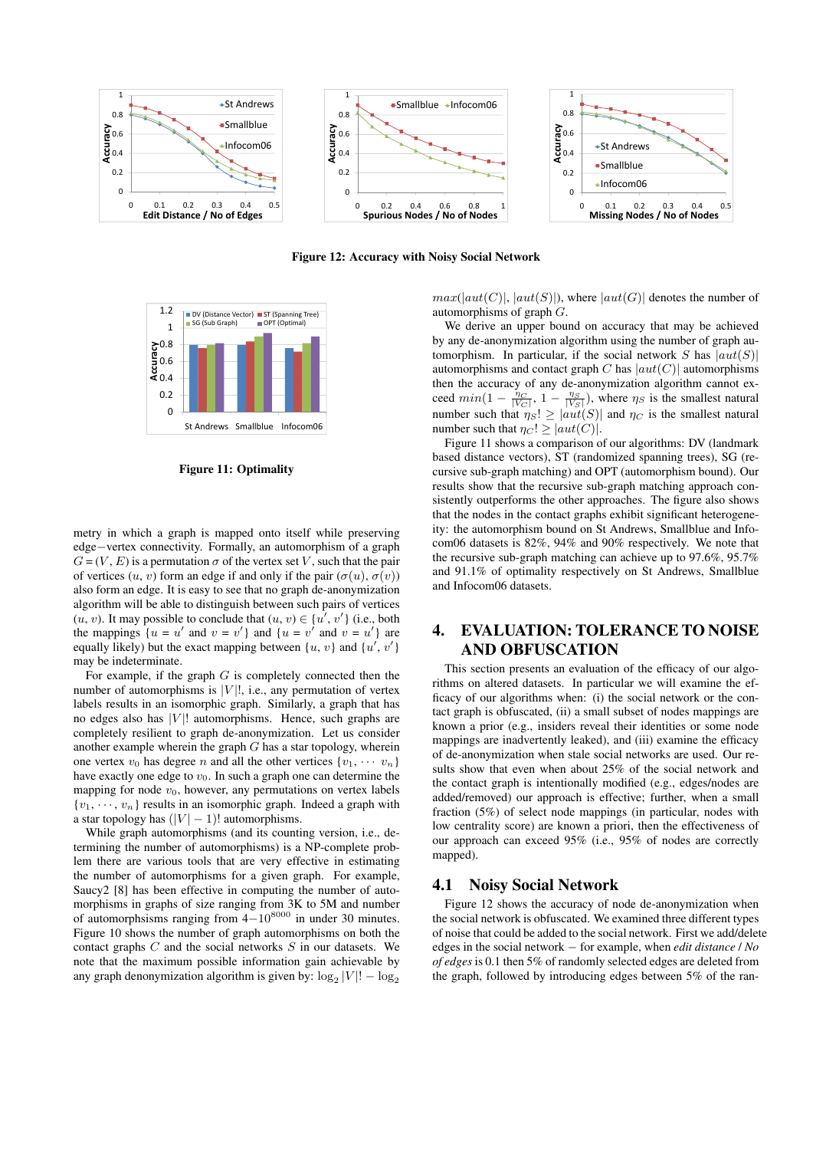

Figure 12: Accuracy with Noisy Social Network



Figure 11: Optimality

metry in which a graph is mapped onto itself while preserving edge−vertex connectivity. Formally, an automorphism of a graph  $G = (V, E)$  is a permutation  $\sigma$  of the vertex set V, such that the pair of vertices  $(u, v)$  form an edge if and only if the pair  $(\sigma(u), \sigma(v))$ also form an edge. It is easy to see that no graph de-anonymization algorithm will be able to distinguish between such pairs of vertices  $(u, v)$ . It may possible to conclude that  $(u, v) \in \{u', v'\}$  (i.e., both the mappings  $\{u = u' \text{ and } v = v'\}$  and  $\{u = v' \text{ and } v = u'\}$  are equally likely) but the exact mapping between  $\{u, v\}$  and  $\{u', v'\}$ may be indeterminate.

For example, if the graph  $G$  is completely connected then the number of automorphisms is  $|V|$ , i.e., any permutation of vertex labels results in an isomorphic graph. Similarly, a graph that has no edges also has  $|V|!$  automorphisms. Hence, such graphs are completely resilient to graph de-anonymization. Let us consider another example wherein the graph  $G$  has a star topology, wherein one vertex  $v_0$  has degree n and all the other vertices  $\{v_1, \cdots, v_n\}$ have exactly one edge to  $v_0$ . In such a graph one can determine the mapping for node  $v_0$ , however, any permutations on vertex labels  ${v_1, \dots, v_n}$  results in an isomorphic graph. Indeed a graph with a star topology has  $(|V| - 1)!$  automorphisms.

While graph automorphisms (and its counting version, i.e., determining the number of automorphisms) is a NP-complete problem there are various tools that are very effective in estimating the number of automorphisms for a given graph. For example, Saucy2 [8] has been effective in computing the number of automorphisms in graphs of size ranging from 3K to 5M and number of automorphsisms ranging from 4−10<sup>8000</sup> in under 30 minutes. Figure 10 shows the number of graph automorphisms on both the contact graphs  $C$  and the social networks  $S$  in our datasets. We note that the maximum possible information gain achievable by any graph denonymization algorithm is given by:  $\log_2 |V|! - \log_2$ 

 $max(|aut(C)|, |aut(S)|)$ , where  $|aut(G)|$  denotes the number of automorphisms of graph G.

We derive an upper bound on accuracy that may be achieved by any de-anonymization algorithm using the number of graph automorphism. In particular, if the social network S has  $|aut(S)|$ automorphisms and contact graph C has  $|aut(C)|$  automorphisms then the accuracy of any de-anonymization algorithm cannot exceed  $min(1 - \frac{\eta_C}{|V_C|}, 1 - \frac{\eta_S}{|V_S|})$ , where  $\eta_S$  is the smallest natural number such that  $\eta_S! \geq |aut(S)|$  and  $\eta_C$  is the smallest natural number such that  $\eta_C$ ! >  $|aut(C)|$ .

Figure 11 shows a comparison of our algorithms: DV (landmark based distance vectors), ST (randomized spanning trees), SG (recursive sub-graph matching) and OPT (automorphism bound). Our results show that the recursive sub-graph matching approach consistently outperforms the other approaches. The figure also shows that the nodes in the contact graphs exhibit significant heterogeneity: the automorphism bound on St Andrews, Smallblue and Infocom06 datasets is 82%, 94% and 90% respectively. We note that the recursive sub-graph matching can achieve up to 97.6%, 95.7% and 91.1% of optimality respectively on St Andrews, Smallblue and Infocom06 datasets.

# 4. EVALUATION: TOLERANCE TO NOISE AND OBFUSCATION

This section presents an evaluation of the efficacy of our algorithms on altered datasets. In particular we will examine the efficacy of our algorithms when: (i) the social network or the contact graph is obfuscated, (ii) a small subset of nodes mappings are known a prior (e.g., insiders reveal their identities or some node mappings are inadvertently leaked), and (iii) examine the efficacy of de-anonymization when stale social networks are used. Our results show that even when about 25% of the social network and the contact graph is intentionally modified (e.g., edges/nodes are added/removed) our approach is effective; further, when a small fraction (5%) of select node mappings (in particular, nodes with low centrality score) are known a priori, then the effectiveness of our approach can exceed 95% (i.e., 95% of nodes are correctly mapped).

#### 4.1 Noisy Social Network

Figure 12 shows the accuracy of node de-anonymization when the social network is obfuscated. We examined three different types of noise that could be added to the social network. First we add/delete edges in the social network − for example, when *edit distance* / *No of edges* is 0.1 then 5% of randomly selected edges are deleted from the graph, followed by introducing edges between 5% of the ran-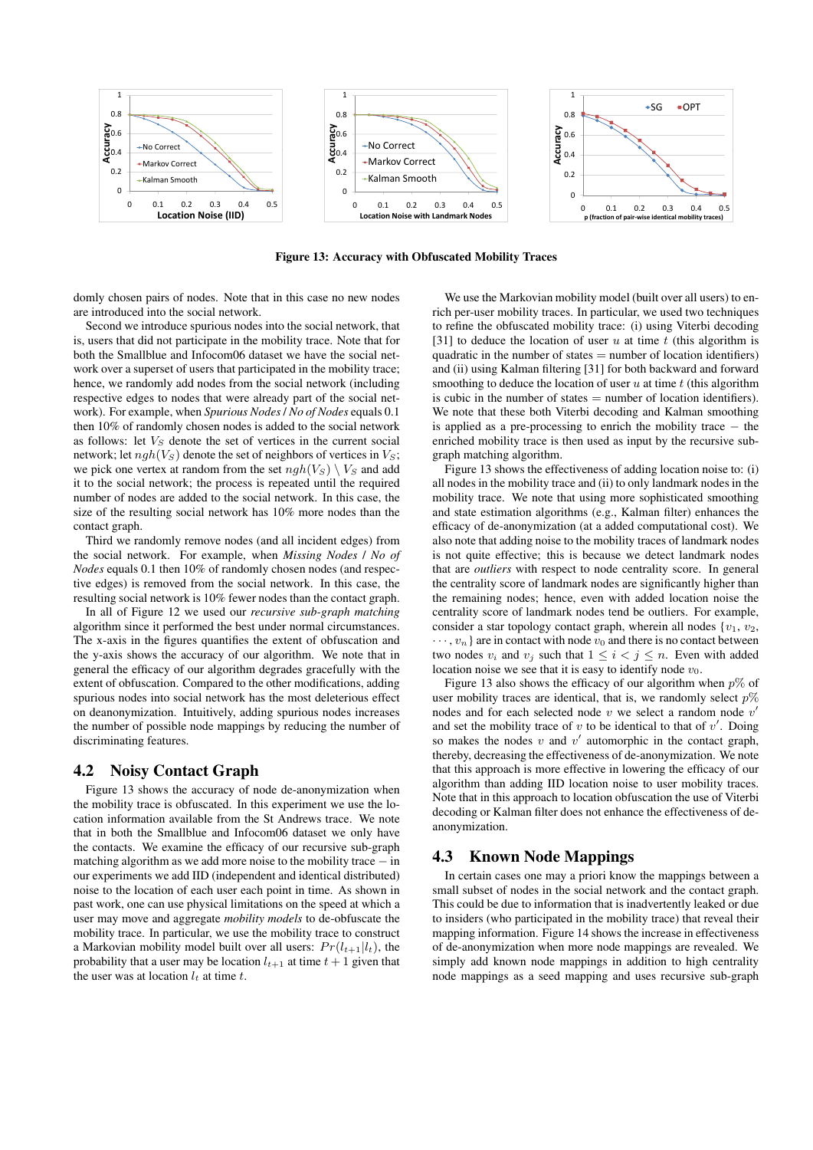

Figure 13: Accuracy with Obfuscated Mobility Traces

domly chosen pairs of nodes. Note that in this case no new nodes are introduced into the social network.

Second we introduce spurious nodes into the social network, that is, users that did not participate in the mobility trace. Note that for both the Smallblue and Infocom06 dataset we have the social network over a superset of users that participated in the mobility trace; hence, we randomly add nodes from the social network (including respective edges to nodes that were already part of the social network). For example, when *Spurious Nodes* / *No of Nodes* equals 0.1 then 10% of randomly chosen nodes is added to the social network as follows: let  $V_S$  denote the set of vertices in the current social network; let  $ngh(V_S)$  denote the set of neighbors of vertices in  $V_S$ ; we pick one vertex at random from the set  $ngh(V_S) \setminus V_S$  and add it to the social network; the process is repeated until the required number of nodes are added to the social network. In this case, the size of the resulting social network has 10% more nodes than the contact graph.

Third we randomly remove nodes (and all incident edges) from the social network. For example, when *Missing Nodes* / *No of Nodes* equals 0.1 then 10% of randomly chosen nodes (and respective edges) is removed from the social network. In this case, the resulting social network is 10% fewer nodes than the contact graph.

In all of Figure 12 we used our *recursive sub-graph matching* algorithm since it performed the best under normal circumstances. The x-axis in the figures quantifies the extent of obfuscation and the y-axis shows the accuracy of our algorithm. We note that in general the efficacy of our algorithm degrades gracefully with the extent of obfuscation. Compared to the other modifications, adding spurious nodes into social network has the most deleterious effect on deanonymization. Intuitively, adding spurious nodes increases the number of possible node mappings by reducing the number of discriminating features.

# 4.2 Noisy Contact Graph

Figure 13 shows the accuracy of node de-anonymization when the mobility trace is obfuscated. In this experiment we use the location information available from the St Andrews trace. We note that in both the Smallblue and Infocom06 dataset we only have the contacts. We examine the efficacy of our recursive sub-graph matching algorithm as we add more noise to the mobility trace − in our experiments we add IID (independent and identical distributed) noise to the location of each user each point in time. As shown in past work, one can use physical limitations on the speed at which a user may move and aggregate *mobility models* to de-obfuscate the mobility trace. In particular, we use the mobility trace to construct a Markovian mobility model built over all users:  $Pr(l_{t+1}|l_t)$ , the probability that a user may be location  $l_{t+1}$  at time  $t + 1$  given that the user was at location  $l_t$  at time  $t$ .

We use the Markovian mobility model (built over all users) to enrich per-user mobility traces. In particular, we used two techniques to refine the obfuscated mobility trace: (i) using Viterbi decoding [31] to deduce the location of user u at time t (this algorithm is quadratic in the number of states  $=$  number of location identifiers) and (ii) using Kalman filtering [31] for both backward and forward smoothing to deduce the location of user  $u$  at time  $t$  (this algorithm is cubic in the number of states  $=$  number of location identifiers). We note that these both Viterbi decoding and Kalman smoothing is applied as a pre-processing to enrich the mobility trace − the enriched mobility trace is then used as input by the recursive subgraph matching algorithm.

Figure 13 shows the effectiveness of adding location noise to: (i) all nodes in the mobility trace and (ii) to only landmark nodes in the mobility trace. We note that using more sophisticated smoothing and state estimation algorithms (e.g., Kalman filter) enhances the efficacy of de-anonymization (at a added computational cost). We also note that adding noise to the mobility traces of landmark nodes is not quite effective; this is because we detect landmark nodes that are *outliers* with respect to node centrality score. In general the centrality score of landmark nodes are significantly higher than the remaining nodes; hence, even with added location noise the centrality score of landmark nodes tend be outliers. For example, consider a star topology contact graph, wherein all nodes  $\{v_1, v_2,$  $\cdots$ ,  $v_n$  are in contact with node  $v_0$  and there is no contact between two nodes  $v_i$  and  $v_j$  such that  $1 \leq i < j \leq n$ . Even with added location noise we see that it is easy to identify node  $v_0$ .

Figure 13 also shows the efficacy of our algorithm when  $p\%$  of user mobility traces are identical, that is, we randomly select  $p\%$ nodes and for each selected node  $v$  we select a random node  $v'$ and set the mobility trace of  $v$  to be identical to that of  $v'$ . Doing so makes the nodes  $v$  and  $v'$  automorphic in the contact graph, thereby, decreasing the effectiveness of de-anonymization. We note that this approach is more effective in lowering the efficacy of our algorithm than adding IID location noise to user mobility traces. Note that in this approach to location obfuscation the use of Viterbi decoding or Kalman filter does not enhance the effectiveness of deanonymization.

# 4.3 Known Node Mappings

In certain cases one may a priori know the mappings between a small subset of nodes in the social network and the contact graph. This could be due to information that is inadvertently leaked or due to insiders (who participated in the mobility trace) that reveal their mapping information. Figure 14 shows the increase in effectiveness of de-anonymization when more node mappings are revealed. We simply add known node mappings in addition to high centrality node mappings as a seed mapping and uses recursive sub-graph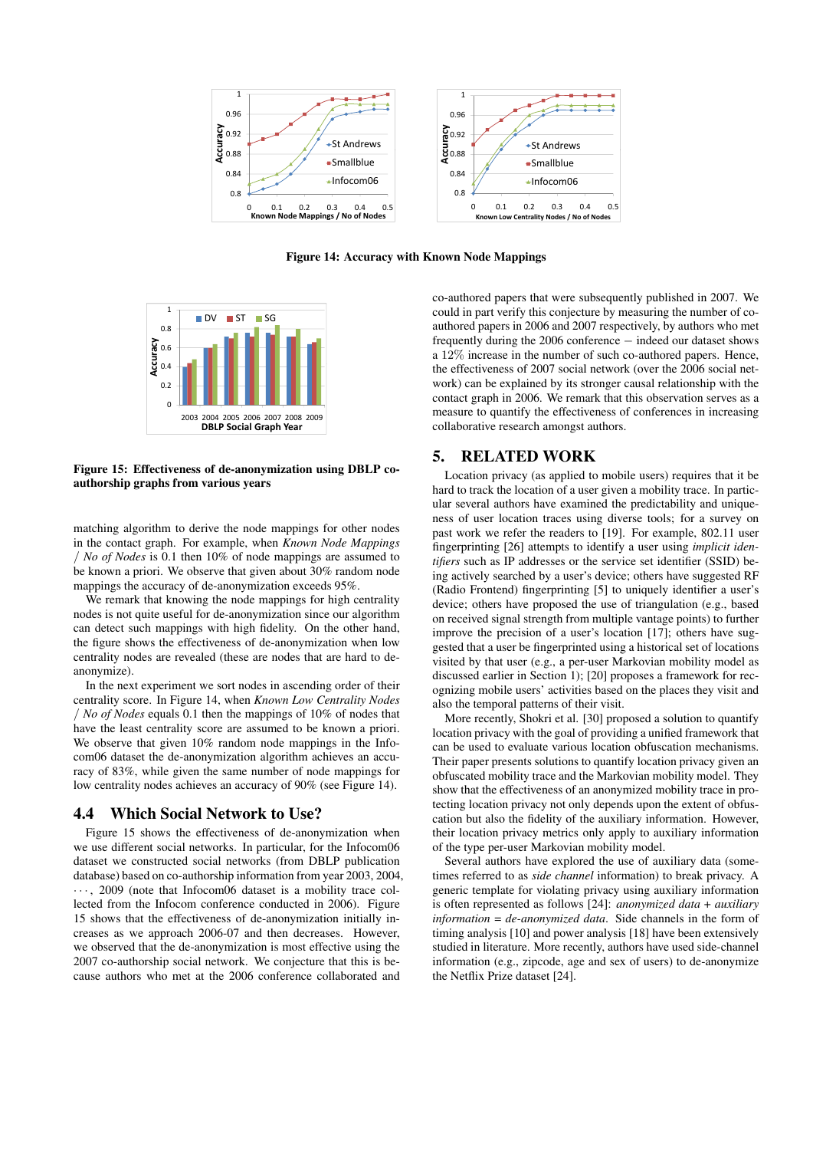

Figure 14: Accuracy with Known Node Mappings



Figure 15: Effectiveness of de-anonymization using DBLP coauthorship graphs from various years

matching algorithm to derive the node mappings for other nodes in the contact graph. For example, when *Known Node Mappings* / *No of Nodes* is 0.1 then 10% of node mappings are assumed to be known a priori. We observe that given about 30% random node mappings the accuracy of de-anonymization exceeds 95%.

We remark that knowing the node mappings for high centrality nodes is not quite useful for de-anonymization since our algorithm can detect such mappings with high fidelity. On the other hand, the figure shows the effectiveness of de-anonymization when low centrality nodes are revealed (these are nodes that are hard to deanonymize).

In the next experiment we sort nodes in ascending order of their centrality score. In Figure 14, when *Known Low Centrality Nodes* / *No of Nodes* equals 0.1 then the mappings of 10% of nodes that have the least centrality score are assumed to be known a priori. We observe that given  $10\%$  random node mappings in the Infocom06 dataset the de-anonymization algorithm achieves an accuracy of 83%, while given the same number of node mappings for low centrality nodes achieves an accuracy of 90% (see Figure 14).

# 4.4 Which Social Network to Use?

Figure 15 shows the effectiveness of de-anonymization when we use different social networks. In particular, for the Infocom06 dataset we constructed social networks (from DBLP publication database) based on co-authorship information from year 2003, 2004,  $\cdots$ , 2009 (note that Infocom06 dataset is a mobility trace collected from the Infocom conference conducted in 2006). Figure 15 shows that the effectiveness of de-anonymization initially increases as we approach 2006-07 and then decreases. However, we observed that the de-anonymization is most effective using the 2007 co-authorship social network. We conjecture that this is because authors who met at the 2006 conference collaborated and

co-authored papers that were subsequently published in 2007. We could in part verify this conjecture by measuring the number of coauthored papers in 2006 and 2007 respectively, by authors who met frequently during the 2006 conference − indeed our dataset shows a 12% increase in the number of such co-authored papers. Hence, the effectiveness of 2007 social network (over the 2006 social network) can be explained by its stronger causal relationship with the contact graph in 2006. We remark that this observation serves as a measure to quantify the effectiveness of conferences in increasing collaborative research amongst authors.

# 5. RELATED WORK

Location privacy (as applied to mobile users) requires that it be hard to track the location of a user given a mobility trace. In particular several authors have examined the predictability and uniqueness of user location traces using diverse tools; for a survey on past work we refer the readers to [19]. For example, 802.11 user fingerprinting [26] attempts to identify a user using *implicit identifiers* such as IP addresses or the service set identifier (SSID) being actively searched by a user's device; others have suggested RF (Radio Frontend) fingerprinting [5] to uniquely identifier a user's device; others have proposed the use of triangulation (e.g., based on received signal strength from multiple vantage points) to further improve the precision of a user's location [17]; others have suggested that a user be fingerprinted using a historical set of locations visited by that user (e.g., a per-user Markovian mobility model as discussed earlier in Section 1); [20] proposes a framework for recognizing mobile users' activities based on the places they visit and also the temporal patterns of their visit.

More recently, Shokri et al. [30] proposed a solution to quantify location privacy with the goal of providing a unified framework that can be used to evaluate various location obfuscation mechanisms. Their paper presents solutions to quantify location privacy given an obfuscated mobility trace and the Markovian mobility model. They show that the effectiveness of an anonymized mobility trace in protecting location privacy not only depends upon the extent of obfuscation but also the fidelity of the auxiliary information. However, their location privacy metrics only apply to auxiliary information of the type per-user Markovian mobility model.

Several authors have explored the use of auxiliary data (sometimes referred to as *side channel* information) to break privacy. A generic template for violating privacy using auxiliary information is often represented as follows [24]: *anonymized data* + *auxiliary information* = *de-anonymized data*. Side channels in the form of timing analysis [10] and power analysis [18] have been extensively studied in literature. More recently, authors have used side-channel information (e.g., zipcode, age and sex of users) to de-anonymize the Netflix Prize dataset [24].